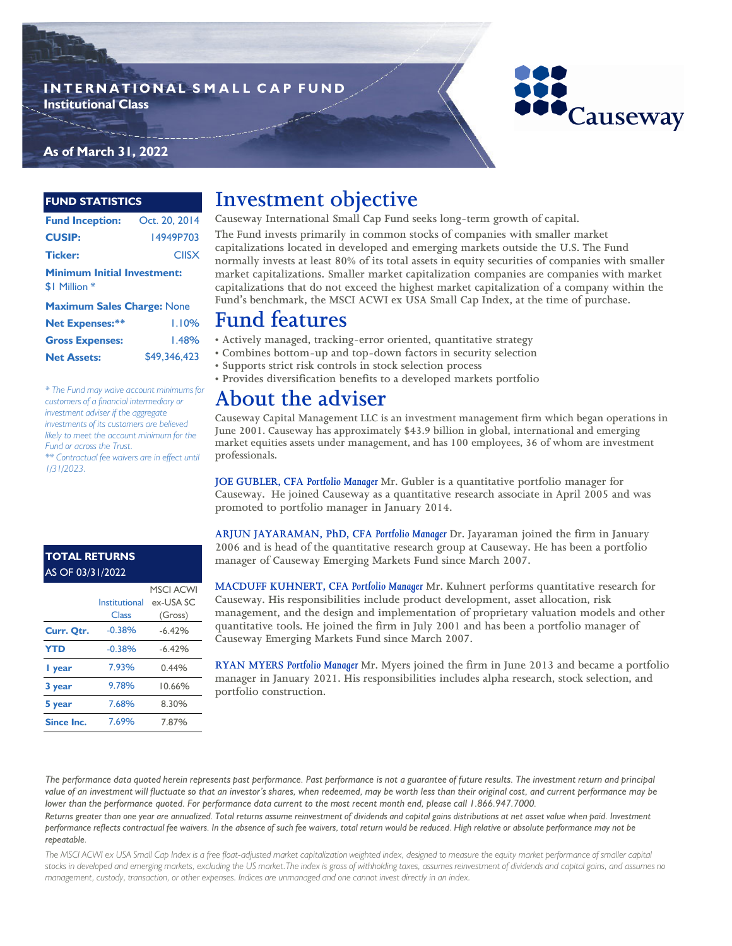## **INTERNATIONAL SMALL CAP FUND Institutional Class**

# Causeway

### **As of March 31, 2022**

#### **FUND STATISTICS**

**Net Assets:**

| Fund Inception: Oct. 20, 2014                       |              |  |  |  |  |
|-----------------------------------------------------|--------------|--|--|--|--|
| <b>CUSIP:</b>                                       | 14949P703    |  |  |  |  |
| <b>Ticker:</b>                                      | <b>CIISX</b> |  |  |  |  |
| <b>Minimum Initial Investment:</b><br>\$I Million * |              |  |  |  |  |
| <b>Maximum Sales Charge: None</b>                   |              |  |  |  |  |
| <b>Net Expenses:**</b>                              | 1.10%        |  |  |  |  |
|                                                     |              |  |  |  |  |

*\* The Fund may waive account minimums for customers of a financial intermediary or investment adviser if the aggregate investments of its customers are believed likely to meet the account minimum for the* 

*\*\* Contractual fee waivers are in effect until* 

Gross Expenses: 1.48% **capitalizations that do not exceed the highest market capitalization of a company within the Fund's benchmark, the MSCI ACWI ex USA Small Cap Index, at the time of purchase. Fund features**

\$49,346,423

- **Actively managed, tracking-error oriented, quantitative strategy**
	- **Combines bottom-up and top-down factors in security selection**
	- **Supports strict risk controls in stock selection process**
	- **Provides diversification benefits to a developed markets portfolio**

**Causeway International Small Cap Fund seeks long-term growth of capital. The Fund invests primarily in common stocks of companies with smaller market capitalizations located in developed and emerging markets outside the U.S. The Fund normally invests at least 80% of its total assets in equity securities of companies with smaller market capitalizations. Smaller market capitalization companies are companies with market** 

# **About the adviser**

**Investment objective**

**Causeway Capital Management LLC is an investment management firm which began operations in June 2001. Causeway has approximately \$43.9 billion in global, international and emerging market equities assets under management, and has 100 employees, 36 of whom are investment professionals.** 

**JOE GUBLER, CFA** *Portfolio Manager* **Mr. Gubler is a quantitative portfolio manager for Causeway. He joined Causeway as a quantitative research associate in April 2005 and was promoted to portfolio manager in January 2014.**

**ARJUN JAYARAMAN, PhD, CFA** *Portfolio Manager* **Dr. Jayaraman joined the firm in January 2006 and is head of the quantitative research group at Causeway. He has been a portfolio manager of Causeway Emerging Markets Fund since March 2007.**

**MACDUFF KUHNERT, CFA** *Portfolio Manager* **Mr. Kuhnert performs quantitative research for Causeway. His responsibilities include product development, asset allocation, risk management, and the design and implementation of proprietary valuation models and other quantitative tools. He joined the firm in July 2001 and has been a portfolio manager of Causeway Emerging Markets Fund since March 2007.**

**RYAN MYERS** *Portfolio Manager* **Mr. Myers joined the firm in June 2013 and became a portfolio manager in January 2021. His responsibilities includes alpha research, stock selection, and portfolio construction.** 

*The performance data quoted herein represents past performance. Past performance is not a guarantee of future results. The investment return and principal value of an investment will fluctuate so that an investor's shares, when redeemed, may be worth less than their original cost, and current performance may be lower than the performance quoted. For performance data current to the most recent month end, please call 1.866.947.7000.* 

Returns greater than one year are annualized. Total returns assume reinvestment of dividends and capital gains distributions at net asset value when paid. Investment *performance reflects contractual fee waivers. In the absence of such fee waivers, total return would be reduced. High relative or absolute performance may not be repeatable.*

*The MSCI ACWI ex USA Small Cap Index is a free float-adjusted market capitalization weighted index, designed to measure the equity market performance of smaller capital stocks in developed and emerging markets, excluding the US market.The index is gross of withholding taxes, assumes reinvestment of dividends and capital gains, and assumes no management, custody, transaction, or other expenses. Indices are unmanaged and one cannot invest directly in an index.* 

## **TOTAL RETURNS**  AS OF 03/31/2022

*Fund or across the Trust.*

*1/31/2023.*

|                   |               | <b>MSCI ACWI</b> |
|-------------------|---------------|------------------|
|                   | Institutional | ex-USA SC        |
|                   | Class         | (Gross)          |
| Curr. Qtr.        | $-0.38%$      | $-6.42%$         |
| <b>YTD</b>        | $-0.38%$      | $-6.42%$         |
| I year            | 7.93%         | 0.44%            |
| 3 year            | 9.78%         | 10.66%           |
| 5 year            | 7.68%         | 8.30%            |
| <b>Since Inc.</b> | 7.69%         | 7.87%            |